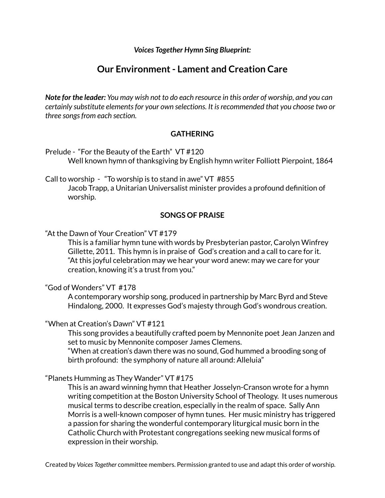*Voices Together Hymn Sing Blueprint:*

# **Our Environment- Lament and Creation Care**

Note for the leader: You may wish not to do each resource in this order of worship, and you can *certainly substitute elementsfor your own selections. It isrecommended that you choose two or three songsfrom each section.*

#### **GATHERING**

Prelude - "For the Beauty of the Earth" VT #120 Well known hymn of thanksgiving by English hymn writer Folliott Pierpoint, 1864

Call to worship - "To worship is to stand in awe" VT #855 Jacob Trapp, a Unitarian Universalist minister provides a profound definition of worship.

#### **SONGS OF PRAISE**

"At the Dawn of Your Creation" VT #179

This is a familiar hymn tune with words by Presbyterian pastor, Carolyn Winfrey Gillette, 2011. This hymn is in praise of God's creation and a call to care for it. "At this joyful celebration may we hear your word anew: may we care for your creation, knowing it's a trust from you."

"God of Wonders" VT #178

A contemporary worship song, produced in partnership by Marc Byrd and Steve Hindalong, 2000. It expresses God's majesty through God's wondrous creation.

#### "When at Creation's Dawn" VT #121

This song provides a beautifully crafted poem by Mennonite poet Jean Janzen and set to music by Mennonite composer James Clemens.

"When at creation's dawn there was no sound, God hummed a brooding song of birth profound: the symphony of nature all around: Alleluia"

#### "Planets Humming as They Wander" VT #175

This is an award winning hymn that Heather Josselyn-Cranson wrote for a hymn writing competition at the Boston University School of Theology. It uses numerous musical terms to describe creation, especially in the realm of space. Sally Ann Morris is a well-known composer of hymn tunes. Her music ministry has triggered a passion for sharing the wonderful contemporary liturgical music born in the Catholic Church with Protestant congregations seeking new musical forms of expression in their worship.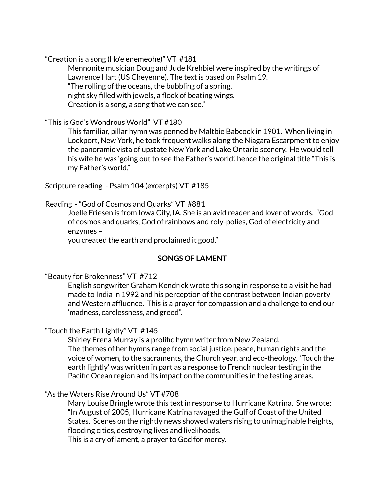"Creation is a song (Ho'e enemeohe)" VT #181

Mennonite musician Doug and Jude Krehbiel were inspired by the writings of Lawrence Hart (US Cheyenne). The text is based on Psalm 19. "The rolling of the oceans, the bubbling of a spring, night sky filled with jewels, a flock of beating wings. Creation is a song, a song that we can see."

"This is God's Wondrous World" VT #180

This familiar, pillar hymn was penned by Maltbie Babcock in 1901. When living in Lockport, New York, he took frequent walks along the Niagara Escarpment to enjoy the panoramic vista of upstate New York and Lake Ontario scenery. He would tell his wife he was 'going out to see the Father's world', hence the original title "This is my Father's world."

Scripture reading - Psalm 104 (excerpts) VT #185

## Reading - "God of Cosmos and Quarks" VT #881

Joelle Friesen is from Iowa City, IA. She is an avid reader and lover of words. "God of cosmos and quarks, God of rainbows and roly-polies, God of electricity and enzymes –

you created the earth and proclaimed it good."

## **SONGS OF LAMENT**

## "Beauty for Brokenness" VT #712

English songwriter Graham Kendrick wrote this song in response to a visit he had made to India in 1992 and his perception of the contrast between Indian poverty and Western affluence. This is a prayer for compassion and a challenge to end our 'madness, carelessness, and greed".

## "Touch the Earth Lightly" VT #145

Shirley Erena Murray is a prolific hymn writer from New Zealand. The themes of her hymns range from social justice, peace, human rights and the voice of women, to the sacraments, the Church year, and eco-theology. 'Touch the earth lightly' was written in part as a response to French nuclear testing in the Pacific Ocean region and its impact on the communities in the testing areas.

## "As the Waters Rise Around Us" VT #708

Mary Louise Bringle wrote this text in response to Hurricane Katrina. She wrote: "In August of 2005, Hurricane Katrina ravaged the Gulf of Coast of the United States. Scenes on the nightly news showed waters rising to unimaginable heights, flooding cities, destroying lives and livelihoods.

This is a cry of lament, a prayer to God for mercy.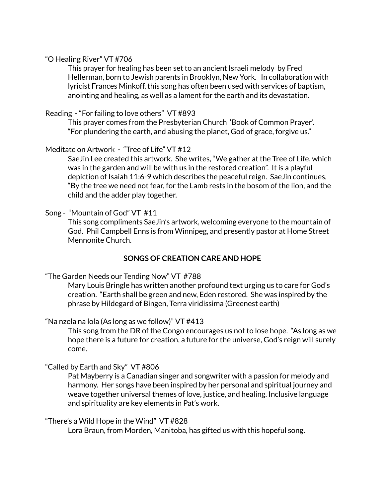#### "O Healing River" VT #706

This prayer for healing has been set to an ancient Israeli melody by Fred Hellerman, born to Jewish parents in Brooklyn, New York. In collaboration with lyricist Frances Minkoff, this song has often been used with services of baptism, anointing and healing, as well as a lament for the earth and its devastation.

#### Reading - "For failing to love others" VT #893

This prayer comes from the Presbyterian Church 'Book of Common Prayer'. "For plundering the earth, and abusing the planet, God of grace, forgive us."

## Meditate on Artwork - "Tree of Life" VT #12

SaeJin Lee created this artwork. She writes, "We gather at the Tree of Life, which was in the garden and will be with us in the restored creation". It is a playful depiction of Isaiah 11:6-9 which describes the peaceful reign. SaeJin continues, "By the tree we need not fear, for the Lamb rests in the bosom of the lion, and the child and the adder play together.

#### Song - "Mountain of God" VT #11

This song compliments SaeJin's artwork, welcoming everyone to the mountain of God. Phil Campbell Enns is from Winnipeg, and presently pastor at Home Street Mennonite Church.

## **SONGS OF CREATION CARE AND HOPE**

"The Garden Needs our Tending Now" VT #788

Mary Louis Bringle has written another profound text urging us to care for God's creation. "Earth shall be green and new, Eden restored. She was inspired by the phrase by Hildegard of Bingen, Terra viridissima (Greenest earth)

"Na nzela na lola (As long as we follow)" VT #413

This song from the DR of the Congo encourages us not to lose hope. "As long as we hope there is a future for creation, a future for the universe, God's reign will surely come.

## "Called by Earth and Sky" VT #806

Pat Mayberry is a Canadian singer and songwriter with a passion for melody and harmony. Her songs have been inspired by her personal and spiritual journey and weave together universal themes of love, justice, and healing. Inclusive language and spirituality are key elements in Pat's work.

#### "There's a Wild Hope in the Wind" VT #828

Lora Braun, from Morden, Manitoba, has gifted us with this hopeful song.